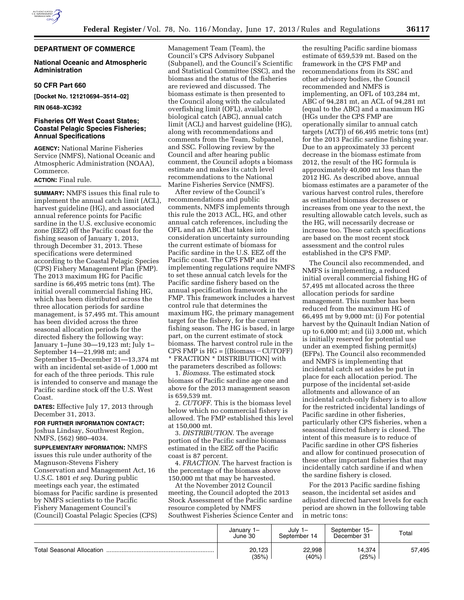

# **DEPARTMENT OF COMMERCE**

## **National Oceanic and Atmospheric Administration**

## **50 CFR Part 660**

**[Docket No. 121210694–3514–02]** 

**RIN 0648–XC392** 

# **Fisheries Off West Coast States; Coastal Pelagic Species Fisheries; Annual Specifications**

**AGENCY:** National Marine Fisheries Service (NMFS), National Oceanic and Atmospheric Administration (NOAA), Commerce.

# **ACTION:** Final rule.

**SUMMARY:** NMFS issues this final rule to implement the annual catch limit (ACL), harvest guideline (HG), and associated annual reference points for Pacific sardine in the U.S. exclusive economic zone (EEZ) off the Pacific coast for the fishing season of January 1, 2013, through December 31, 2013. These specifications were determined according to the Coastal Pelagic Species (CPS) Fishery Management Plan (FMP). The 2013 maximum HG for Pacific sardine is 66,495 metric tons (mt). The initial overall commercial fishing HG, which has been distributed across the three allocation periods for sardine management, is 57,495 mt. This amount has been divided across the three seasonal allocation periods for the directed fishery the following way: January 1–June 30—19,123 mt; July 1– September 14—21,998 mt; and September 15–December 31—13,374 mt with an incidental set-aside of 1,000 mt for each of the three periods. This rule is intended to conserve and manage the Pacific sardine stock off the U.S. West Coast.

**DATES:** Effective July 17, 2013 through December 31, 2013.

### **FOR FURTHER INFORMATION CONTACT:**

Joshua Lindsay, Southwest Region, NMFS, (562) 980–4034.

**SUPPLEMENTARY INFORMATION:** NMFS issues this rule under authority of the Magnuson-Stevens Fishery Conservation and Management Act, 16 U.S.C. 1801 *et seq.* During public meetings each year, the estimated biomass for Pacific sardine is presented by NMFS scientists to the Pacific Fishery Management Council's (Council) Coastal Pelagic Species (CPS)

Management Team (Team), the Council's CPS Advisory Subpanel (Subpanel), and the Council's Scientific and Statistical Committee (SSC), and the biomass and the status of the fisheries are reviewed and discussed. The biomass estimate is then presented to the Council along with the calculated overfishing limit (OFL), available biological catch (ABC), annual catch limit (ACL) and harvest guideline (HG), along with recommendations and comments from the Team, Subpanel, and SSC. Following review by the Council and after hearing public comment, the Council adopts a biomass estimate and makes its catch level recommendations to the National Marine Fisheries Service (NMFS).

After review of the Council's recommendations and public comments, NMFS implements through this rule the 2013 ACL, HG, and other annual catch references, including the OFL and an ABC that takes into consideration uncertainty surrounding the current estimate of biomass for Pacific sardine in the U.S. EEZ off the Pacific coast. The CPS FMP and its implementing regulations require NMFS to set these annual catch levels for the Pacific sardine fishery based on the annual specification framework in the FMP. This framework includes a harvest control rule that determines the maximum HG, the primary management target for the fishery, for the current fishing season. The HG is based, in large part, on the current estimate of stock biomass. The harvest control rule in the CPS FMP is  $HG = [(Biomass-CUTOFF)]$ \* FRACTION \* DISTRIBUTION] with the parameters described as follows:

1. *Biomass.* The estimated stock biomass of Pacific sardine age one and above for the 2013 management season is 659,539 mt.

2. *CUTOFF.* This is the biomass level below which no commercial fishery is allowed. The FMP established this level at 150,000 mt.

3. *DISTRIBUTION.* The average portion of the Pacific sardine biomass estimated in the EEZ off the Pacific coast is 87 percent.

4. *FRACTION.* The harvest fraction is the percentage of the biomass above 150,000 mt that may be harvested.

At the November 2012 Council meeting, the Council adopted the 2013 Stock Assessment of the Pacific sardine resource completed by NMFS Southwest Fisheries Science Center and

the resulting Pacific sardine biomass estimate of 659,539 mt. Based on the framework in the CPS FMP and recommendations from its SSC and other advisory bodies, the Council recommended and NMFS is implementing, an OFL of 103,284 mt, ABC of 94,281 mt, an ACL of 94,281 mt (equal to the ABC) and a maximum HG (HGs under the CPS FMP are operationally similar to annual catch targets (ACT)) of 66,495 metric tons (mt) for the 2013 Pacific sardine fishing year. Due to an approximately 33 percent decrease in the biomass estimate from 2012, the result of the HG formula is approximately 40,000 mt less than the 2012 HG. As described above, annual biomass estimates are a parameter of the various harvest control rules, therefore as estimated biomass decreases or increases from one year to the next, the resulting allowable catch levels, such as the HG, will necessarily decrease or increase too. These catch specifications are based on the most recent stock assessment and the control rules established in the CPS FMP.

The Council also recommended, and NMFS is implementing, a reduced initial overall commercial fishing HG of 57,495 mt allocated across the three allocation periods for sardine management. This number has been reduced from the maximum HG of 66,495 mt by 9,000 mt: (i) For potential harvest by the Quinault Indian Nation of up to 6,000 mt; and (ii) 3,000 mt, which is initially reserved for potential use under an exempted fishing permit(s) (EFPs). The Council also recommended and NMFS is implementing that incidental catch set asides be put in place for each allocation period. The purpose of the incidental set-aside allotments and allowance of an incidental catch-only fishery is to allow for the restricted incidental landings of Pacific sardine in other fisheries, particularly other CPS fisheries, when a seasonal directed fishery is closed. The intent of this measure is to reduce of Pacific sardine in other CPS fisheries and allow for continued prosecution of these other important fisheries that may incidentally catch sardine if and when the sardine fishery is closed.

For the 2013 Pacific sardine fishing season, the incidental set asides and adjusted directed harvest levels for each period are shown in the following table in metric tons:

|                                  | January 1-<br>June 30 | July<br>ו –<br>September 14 | September 15-<br>December 31 | Total  |
|----------------------------------|-----------------------|-----------------------------|------------------------------|--------|
| <b>Total Seasonal Allocation</b> | 20,123<br>(35%)       | 22,998<br>(40%)             | 14,374<br>(25%)              | 57,495 |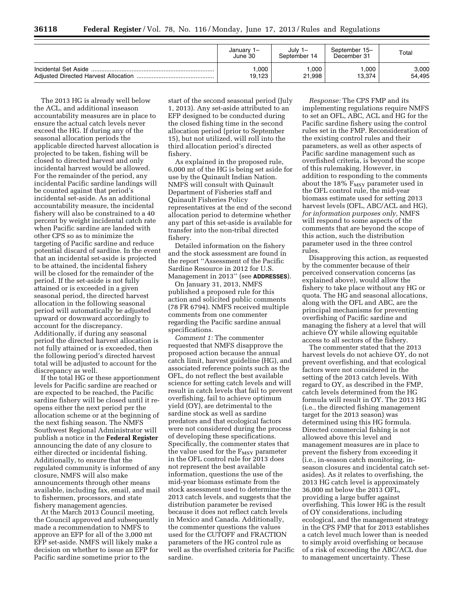| January<br>June 30 | July $1-$<br>September 14 | September 15-<br>December 31 | Total  |
|--------------------|---------------------------|------------------------------|--------|
| 000.               | ,000                      | 1.000                        | 3,000  |
| 19,123             | 21,998                    | 13.374                       | 54,495 |

The 2013 HG is already well below the ACL, and additional inseason accountability measures are in place to ensure the actual catch levels never exceed the HG. If during any of the seasonal allocation periods the applicable directed harvest allocation is projected to be taken, fishing will be closed to directed harvest and only incidental harvest would be allowed. For the remainder of the period, any incidental Pacific sardine landings will be counted against that period's incidental set-aside. As an additional accountability measure, the incidental fishery will also be constrained to a 40 percent by weight incidental catch rate when Pacific sardine are landed with other CPS so as to minimize the targeting of Pacific sardine and reduce potential discard of sardine. In the event that an incidental set-aside is projected to be attained, the incidental fishery will be closed for the remainder of the period. If the set-aside is not fully attained or is exceeded in a given seasonal period, the directed harvest allocation in the following seasonal period will automatically be adjusted upward or downward accordingly to account for the discrepancy. Additionally, if during any seasonal period the directed harvest allocation is not fully attained or is exceeded, then the following period's directed harvest total will be adjusted to account for the discrepancy as well.

If the total HG or these apportionment levels for Pacific sardine are reached or are expected to be reached, the Pacific sardine fishery will be closed until it reopens either the next period per the allocation scheme or at the beginning of the next fishing season. The NMFS Southwest Regional Administrator will publish a notice in the **Federal Register**  announcing the date of any closure to either directed or incidental fishing. Additionally, to ensure that the regulated community is informed of any closure, NMFS will also make announcements through other means available, including fax, email, and mail to fishermen, processors, and state fishery management agencies.

At the March 2013 Council meeting, the Council approved and subsequently made a recommendation to NMFS to approve an EFP for all of the 3,000 mt EFP set-aside. NMFS will likely make a decision on whether to issue an EFP for Pacific sardine sometime prior to the

start of the second seasonal period (July 1, 2013). Any set-aside attributed to an EFP designed to be conducted during the closed fishing time in the second allocation period (prior to September 15), but not utilized, will roll into the third allocation period's directed fishery.

As explained in the proposed rule, 6,000 mt of the HG is being set aside for use by the Quinault Indian Nation. NMFS will consult with Quinault Department of Fisheries staff and Quinault Fisheries Policy representatives at the end of the second allocation period to determine whether any part of this set-aside is available for transfer into the non-tribal directed fishery.

Detailed information on the fishery and the stock assessment are found in the report ''Assessment of the Pacific Sardine Resource in 2012 for U.S. Management in 2013'' (see **ADDRESSES**).

On January 31, 2013, NMFS published a proposed rule for this action and solicited public comments (78 FR 6794). NMFS received multiple comments from one commenter regarding the Pacific sardine annual specifications.

*Comment 1:* The commenter requested that NMFS disapprove the proposed action because the annual catch limit, harvest guideline (HG), and associated reference points such as the OFL, do not reflect the best available science for setting catch levels and will result in catch levels that fail to prevent overfishing, fail to achieve optimum yield (OY), are detrimental to the sardine stock as well as sardine predators and that ecological factors were not considered during the process of developing these specifications. Specifically, the commenter states that the value used for the  $F_{\text{MSY}}$  parameter in the OFL control rule for 2013 does not represent the best available information, questions the use of the mid-year biomass estimate from the stock assessment used to determine the 2013 catch levels, and suggests that the distribution parameter be revised because it does not reflect catch levels in Mexico and Canada. Additionally, the commenter questions the values used for the CUTOFF and FRACTION parameters of the HG control rule as well as the overfished criteria for Pacific sardine.

*Response:* The CPS FMP and its implementing regulations require NMFS to set an OFL, ABC, ACL and HG for the Pacific sardine fishery using the control rules set in the FMP. Reconsideration of the existing control rules and their parameters, as well as other aspects of Pacific sardine management such as overfished criteria, is beyond the scope of this rulemaking. However, in addition to responding to the comments about the  $18\%$   $F_{MSY}$  parameter used in the OFL control rule, the mid-year biomass estimate used for setting 2013 harvest levels (OFL, ABC/ACL and HG), *for information purposes only,* NMFS will respond to some aspects of the comments that are beyond the scope of this action, such the distribution parameter used in the three control rules.

Disapproving this action, as requested by the commenter because of their perceived conservation concerns (as explained above), would allow the fishery to take place without any HG or quota. The HG and seasonal allocations, along with the OFL and ABC, are the principal mechanisms for preventing overfishing of Pacific sardine and managing the fishery at a level that will achieve OY while allowing equitable access to all sectors of the fishery.

The commenter stated that the 2013 harvest levels do not achieve OY, do not prevent overfishing, and that ecological factors were not considered in the setting of the 2013 catch levels. With regard to OY, as described in the FMP, catch levels determined from the HG formula will result in OY. The 2013 HG (i.e., the directed fishing management target for the 2013 season) was determined using this HG formula. Directed commercial fishing is not allowed above this level and management measures are in place to prevent the fishery from exceeding it (i.e., in-season catch monitoring, inseason closures and incidental catch setasides). As it relates to overfishing, the 2013 HG catch level is approximately 36,000 mt below the 2013 OFL, providing a large buffer against overfishing. This lower HG is the result of OY considerations, including ecological, and the management strategy in the CPS FMP that for 2013 establishes a catch level much lower than is needed to simply avoid overfishing or because of a risk of exceeding the ABC/ACL due to management uncertainty. These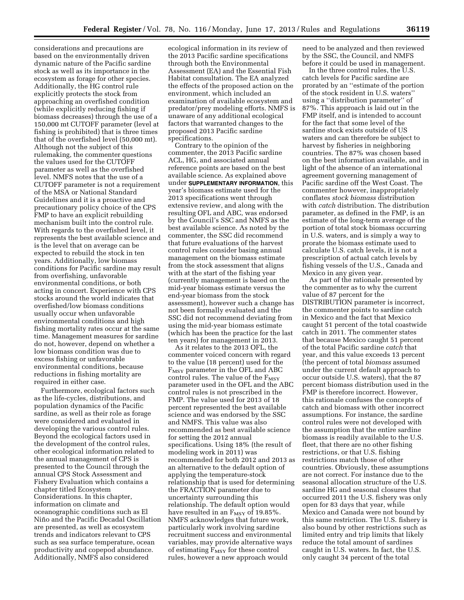considerations and precautions are based on the environmentally driven dynamic nature of the Pacific sardine stock as well as its importance in the ecosystem as forage for other species. Additionally, the HG control rule explicitly protects the stock from approaching an overfished condition (while explicitly reducing fishing if biomass decreases) through the use of a 150,000 mt CUTOFF parameter (level at fishing is prohibited) that is three times that of the overfished level (50,000 mt). Although not the subject of this rulemaking, the commenter questions the values used for the CUTOFF parameter as well as the overfished level. NMFS notes that the use of a CUTOFF parameter is not a requirement of the MSA or National Standard Guidelines and it is a proactive and precautionary policy choice of the CPS FMP to have an explicit rebuilding mechanism built into the control rule. With regards to the overfished level, it represents the best available science and is the level that on average can be expected to rebuild the stock in ten years. Additionally, low biomass conditions for Pacific sardine may result from overfishing, unfavorable environmental conditions, or both acting in concert. Experience with CPS stocks around the world indicates that overfished/low biomass conditions usually occur when unfavorable environmental conditions and high fishing mortality rates occur at the same time. Management measures for sardine do not, however, depend on whether a low biomass condition was due to excess fishing or unfavorable environmental conditions, because reductions in fishing mortality are required in either case.

Furthermore, ecological factors such as the life-cycles, distributions, and population dynamics of the Pacific sardine, as well as their role as forage were considered and evaluated in developing the various control rules. Beyond the ecological factors used in the development of the control rules, other ecological information related to the annual management of CPS is presented to the Council through the annual CPS Stock Assessment and Fishery Evaluation which contains a chapter titled Ecosystem Considerations. In this chapter, information on climate and oceanographic conditions such as El Niño and the Pacific Decadal Oscillation are presented, as well as ecosystem trends and indicators relevant to CPS such as sea surface temperature, ocean productivity and copepod abundance. Additionally, NMFS also considered

ecological information in its review of the 2013 Pacific sardine specifications through both the Environmental Assessment (EA) and the Essential Fish Habitat consultation. The EA analyzed the effects of the proposed action on the environment, which included an examination of available ecosystem and predator/prey modeling efforts. NMFS is unaware of any additional ecological factors that warranted changes to the proposed 2013 Pacific sardine specifications.

Contrary to the opinion of the commenter, the 2013 Pacific sardine ACL, HG, and associated annual reference points are based on the best available science. As explained above under **SUPPLEMENTARY INFORMATION**, this year's biomass estimate used for the 2013 specifications went through extensive review, and along with the resulting OFL and ABC, was endorsed by the Council's SSC and NMFS as the best available science. As noted by the commenter, the SSC did recommend that future evaluations of the harvest control rules consider basing annual management on the biomass estimate from the stock assessment that aligns with at the start of the fishing year (currently management is based on the mid-year biomass estimate versus the end-year biomass from the stock assessment), however such a change has not been formally evaluated and the SSC did not recommend deviating from using the mid-year biomass estimate (which has been the practice for the last ten years) for management in 2013.

As it relates to the 2013 OFL, the commenter voiced concern with regard to the value (18 percent) used for the F<sub>MSY</sub> parameter in the OFL and ABC control rules. The value of the  $F_{MSY}$ parameter used in the OFL and the ABC control rules is not prescribed in the FMP. The value used for 2013 of 18 percent represented the best available science and was endorsed by the SSC and NMFS. This value was also recommended as best available science for setting the 2012 annual specifications. Using 18% (the result of modeling work in 2011) was recommended for both 2012 and 2013 as an alternative to the default option of applying the temperature-stock relationship that is used for determining the FRACTION parameter due to uncertainty surrounding this relationship. The default option would have resulted in an  $F_{MSY}$  of 19.85%. NMFS acknowledges that future work, particularly work involving sardine recruitment success and environmental variables, may provide alternative ways of estimating  $F_{MSY}$  for these control rules, however a new approach would

need to be analyzed and then reviewed by the SSC, the Council, and NMFS before it could be used in management.

In the three control rules, the U.S. catch levels for Pacific sardine are prorated by an ''estimate of the portion of the stock resident in U.S. waters'' using a ''distribution parameter'' of 87%. This approach is laid out in the FMP itself, and is intended to account for the fact that some level of the sardine stock exists outside of US waters and can therefore be subject to harvest by fisheries in neighboring countries. The 87% was chosen based on the best information available, and in light of the absence of an international agreement governing management of Pacific sardine off the West Coast. The commenter however, inappropriately conflates *stock biomass* distribution with *catch* distribution. The distribution parameter, as defined in the FMP, is an estimate of the long-term average of the portion of total stock biomass occurring in U.S. waters, and is simply a way to prorate the biomass estimate used to calculate U.S. catch levels, it is not a prescription of actual catch levels by fishing vessels of the U.S., Canada and Mexico in any given year.

As part of the rationale presented by the commenter as to why the current value of 87 percent for the DISTRIBUTION parameter is incorrect, the commenter points to sardine catch in Mexico and the fact that Mexico caught 51 percent of the total coastwide catch in 2011. The commenter states that because Mexico caught 51 percent of the total Pacific sardine *catch* that year, and this value exceeds 13 percent (the percent of total *biomass* assumed under the current default approach to occur outside U.S. waters), that the 87 percent biomass distribution used in the FMP is therefore incorrect. However, this rationale confuses the concepts of catch and biomass with other incorrect assumptions. For instance, the sardine control rules were not developed with the assumption that the entire sardine biomass is readily available to the U.S. fleet, that there are no other fishing restrictions, or that U.S. fishing restrictions match those of other countries. Obviously, these assumptions are not correct. For instance due to the seasonal allocation structure of the U.S. sardine HG and seasonal closures that occurred 2011 the U.S. fishery was only open for 83 days that year, while Mexico and Canada were not bound by this same restriction. The U.S. fishery is also bound by other restrictions such as limited entry and trip limits that likely reduce the total amount of sardines caught in U.S. waters. In fact, the U.S. only caught 34 percent of the total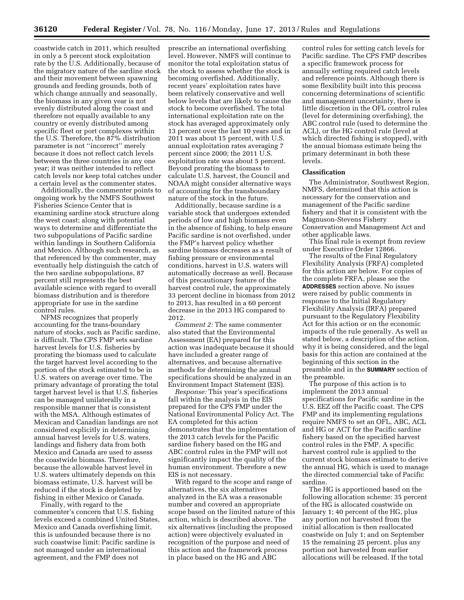coastwide catch in 2011, which resulted in only a 5 percent stock exploitation rate by the U.S. Additionally, because of the migratory nature of the sardine stock and their movement between spawning grounds and feeding grounds, both of which change annually and seasonally, the biomass in any given year is not evenly distributed along the coast and therefore not equally available to any country or evenly distributed among specific fleet or port complexes within the U.S. Therefore, the 87% distribution parameter is not ''incorrect'' merely because it does not reflect catch levels between the three countries in any one year; it was neither intended to reflect catch levels nor keep total catches under a certain level as the commenter states.

Additionally, the commenter points to ongoing work by the NMFS Southwest Fisheries Science Center that is examining sardine stock structure along the west coast; along with potential ways to determine and differentiate the two subpopulations of Pacific sardine within landings in Southern California and Mexico. Although such research, as that referenced by the commenter, may eventually help distinguish the catch of the two sardine subpopulations, 87 percent still represents the best available science with regard to overall biomass distribution and is therefore appropriate for use in the sardine control rules.

NFMS recognizes that properly accounting for the trans-boundary nature of stocks, such as Pacific sardine, is difficult. The CPS FMP sets sardine harvest levels for U.S. fisheries by prorating the biomass used to calculate the target harvest level according to the portion of the stock estimated to be in U.S. waters on average over time. The primary advantage of prorating the total target harvest level is that U.S. fisheries can be managed unilaterally in a responsible manner that is consistent with the MSA. Although estimates of Mexican and Canadian landings are not considered explicitly in determining annual harvest levels for U.S. waters, landings and fishery data from both Mexico and Canada are used to assess the coastwide biomass. Therefore, because the allowable harvest level in U.S. waters ultimately depends on this biomass estimate, U.S. harvest will be reduced if the stock is depleted by fishing in either Mexico or Canada.

Finally, with regard to the commenter's concern that U.S. fishing levels exceed a combined United States, Mexico and Canada overfishing limit, this is unfounded because there is no such coastwise limit: Pacific sardine is not managed under an international agreement, and the FMP does not

prescribe an international overfishing level. However, NMFS will continue to monitor the total exploitation status of the stock to assess whether the stock is becoming overfished. Additionally, recent years' exploitation rates have been relatively conservative and well below levels that are likely to cause the stock to become overfished. The total international exploitation rate on the stock has averaged approximately only 13 percent over the last 10 years and in 2011 was about 15 percent, with U.S. annual exploitation rates averaging 7 percent since 2000; the 2011 U.S. exploitation rate was about 5 percent. Beyond prorating the biomass to calculate U.S. harvest, the Council and NOAA might consider alternative ways of accounting for the transboundary nature of the stock in the future.

Additionally, because sardine is a variable stock that undergoes extended periods of low and high biomass even in the absence of fishing, to help ensure Pacific sardine is not overfished, under the FMP's harvest policy whether sardine biomass decreases as a result of fishing pressure or environmental conditions, harvest in U.S. waters will automatically decrease as well. Because of this precautionary feature of the harvest control rule, the approximately 33 percent decline in biomass from 2012 to 2013, has resulted in a 60 percent decrease in the 2013 HG compared to 2012.

*Comment 2:* The same commenter also stated that the Environmental Assessment (EA) prepared for this action was inadequate because it should have included a greater range of alternatives, and because alternative methods for determining the annual specifications should be analyzed in an Environment Impact Statement (EIS).

*Response:* This year's specifications fall within the analysis in the EIS prepared for the CPS FMP under the National Environmental Policy Act. The EA completed for this action demonstrates that the implementation of the 2013 catch levels for the Pacific sardine fishery based on the HG and ABC control rules in the FMP will not significantly impact the quality of the human environment. Therefore a new EIS is not necessary.

With regard to the scope and range of alternatives, the six alternatives analyzed in the EA was a reasonable number and covered an appropriate scope based on the limited nature of this action, which is described above. The six alternatives (including the proposed action) were objectively evaluated in recognition of the purpose and need of this action and the framework process in place based on the HG and ABC

control rules for setting catch levels for Pacific sardine. The CPS FMP describes a specific framework process for annually setting required catch levels and reference points. Although there is some flexibility built into this process concerning determinations of scientific and management uncertainty, there is little discretion in the OFL control rules (level for determining overfishing), the ABC control rule (used to determine the ACL), or the HG control rule (level at which directed fishing is stopped), with the annual biomass estimate being the primary determinant in both these levels.

### **Classification**

The Administrator, Southwest Region, NMFS, determined that this action is necessary for the conservation and management of the Pacific sardine fishery and that it is consistent with the Magnuson-Stevens Fishery Conservation and Management Act and other applicable laws.

This final rule is exempt from review under Executive Order 12866.

The results of the Final Regulatory Flexibility Analysis (FRFA) completed for this action are below. For copies of the complete FRFA, please see the **ADDRESSES** section above. No issues were raised by public comments in response to the Initial Regulatory Flexibility Analysis (IRFA) prepared pursuant to the Regulatory Flexibility Act for this action or on the economic impacts of the rule generally. As well as stated below, a description of the action, why it is being considered, and the legal basis for this action are contained at the beginning of this section in the preamble and in the **SUMMARY** section of the preamble.

The purpose of this action is to implement the 2013 annual specifications for Pacific sardine in the U.S. EEZ off the Pacific coast. The CPS FMP and its implementing regulations require NMFS to set an OFL, ABC, ACL and HG or ACT for the Pacific sardine fishery based on the specified harvest control rules in the FMP. A specific harvest control rule is applied to the current stock biomass estimate to derive the annual HG, which is used to manage the directed commercial take of Pacific sardine.

The HG is apportioned based on the following allocation scheme: 35 percent of the HG is allocated coastwide on January 1; 40 percent of the HG, plus any portion not harvested from the initial allocation is then reallocated coastwide on July 1; and on September 15 the remaining 25 percent, plus any portion not harvested from earlier allocations will be released. If the total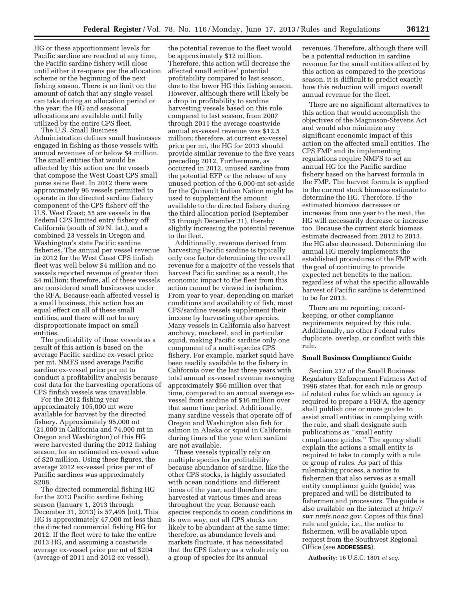HG or these apportionment levels for Pacific sardine are reached at any time, the Pacific sardine fishery will close until either it re-opens per the allocation scheme or the beginning of the next fishing season. There is no limit on the amount of catch that any single vessel can take during an allocation period or the year; the HG and seasonal allocations are available until fully utilized by the entire CPS fleet.

The U.S. Small Business Administration defines small businesses engaged in fishing as those vessels with annual revenues of or below \$4 million. The small entities that would be affected by this action are the vessels that compose the West Coast CPS small purse seine fleet. In 2012 there were approximately 96 vessels permitted to operate in the directed sardine fishery component of the CPS fishery off the U.S. West Coast; 55 are vessels in the Federal CPS limited entry fishery off California (south of 39 N. lat.), and a combined 23 vessels in Oregon and Washington's state Pacific sardine fisheries. The annual per vessel revenue in 2012 for the West Coast CPS finfish fleet was well below \$4 million and no vessels reported revenue of greater than \$4 million; therefore, all of these vessels are considered small businesses under the RFA. Because each affected vessel is a small business, this action has an equal effect on all of these small entities, and there will not be any disproportionate impact on small entities.

The profitability of these vessels as a result of this action is based on the average Pacific sardine ex-vessel price per mt. NMFS used average Pacific sardine ex-vessel price per mt to conduct a profitability analysis because cost data for the harvesting operations of CPS finfish vessels was unavailable.

For the 2012 fishing year approximately 105,000 mt were available for harvest by the directed fishery. Approximately 95,000 mt (21,000 in California and 74,000 mt in Oregon and Washington) of this HG were harvested during the 2012 fishing season, for an estimated ex-vessel value of \$20 million. Using these figures, the average 2012 ex-vessel price per mt of Pacific sardines was approximately \$208.

The directed commercial fishing HG for the 2013 Pacific sardine fishing season (January 1, 2013 through December 31, 2013) is 57,495 (mt). This HG is approximately 47,000 mt less than the directed commercial fishing HG for 2012. If the fleet were to take the entire 2013 HG, and assuming a coastwide average ex-vessel price per mt of \$204 (average of 2011 and 2012 ex-vessel),

the potential revenue to the fleet would be approximately \$12 million. Therefore, this action will decrease the affected small entities' potential profitability compared to last season, due to the lower HG this fishing season. However, although there will likely be a drop in profitability to sardine harvesting vessels based on this rule compared to last season, from 2007 through 2011 the average coastwide annual ex-vessel revenue was \$12.5 million; therefore, at current ex-vessel price per mt, the HG for 2013 should provide similar revenue to the five years preceding 2012. Furthermore, as occurred in 2012, unused sardine from the potential EFP or the release of any unused portion of the 6,000-mt set-aside for the Quinault Indian Nation might be used to supplement the amount available to the directed fishery during the third allocation period (September 15 through December 31), thereby slightly increasing the potential revenue to the fleet.

Additionally, revenue derived from harvesting Pacific sardine is typically only one factor determining the overall revenue for a majority of the vessels that harvest Pacific sardine; as a result, the economic impact to the fleet from this action cannot be viewed in isolation. From year to year, depending on market conditions and availability of fish, most CPS/sardine vessels supplement their income by harvesting other species. Many vessels in California also harvest anchovy, mackerel, and in particular squid, making Pacific sardine only one component of a multi-species CPS fishery. For example, market squid have been readily available to the fishery in California over the last three years with total annual ex-vessel revenue averaging approximately \$66 million over that time, compared to an annual average exvessel from sardine of \$16 million over that same time period. Additionally, many sardine vessels that operate off of Oregon and Washington also fish for salmon in Alaska or squid in California during times of the year when sardine are not available.

These vessels typically rely on multiple species for profitability because abundance of sardine, like the other CPS stocks, is highly associated with ocean conditions and different times of the year, and therefore are harvested at various times and areas throughout the year. Because each species responds to ocean conditions in its own way, not all CPS stocks are likely to be abundant at the same time; therefore, as abundance levels and markets fluctuate, it has necessitated that the CPS fishery as a whole rely on a group of species for its annual

revenues. Therefore, although there will be a potential reduction in sardine revenue for the small entities affected by this action as compared to the previous season, it is difficult to predict exactly how this reduction will impact overall annual revenue for the fleet.

There are no significant alternatives to this action that would accomplish the objectives of the Magnuson-Stevens Act and would also minimize any significant economic impact of this action on the affected small entities. The CPS FMP and its implementing regulations require NMFS to set an annual HG for the Pacific sardine fishery based on the harvest formula in the FMP. The harvest formula is applied to the current stock biomass estimate to determine the HG. Therefore, if the estimated biomass decreases or increases from one year to the next, the HG will necessarily decrease or increase too. Because the current stock biomass estimate decreased from 2012 to 2013, the HG also decreased. Determining the annual HG merely implements the established procedures of the FMP with the goal of continuing to provide expected net benefits to the nation, regardless of what the specific allowable harvest of Pacific sardine is determined to be for 2013.

There are no reporting, recordkeeping, or other compliance requirements required by this rule. Additionally, no other Federal rules duplicate, overlap, or conflict with this rule.

## **Small Business Compliance Guide**

Section 212 of the Small Business Regulatory Enforcement Fairness Act of 1996 states that, for each rule or group of related rules for which an agency is required to prepare a FRFA, the agency shall publish one or more guides to assist small entities in complying with the rule, and shall designate such publications as ''small entity compliance guides.'' The agency shall explain the actions a small entity is required to take to comply with a rule or group of rules. As part of this rulemaking process, a notice to fishermen that also serves as a small entity compliance guide (guide) was prepared and will be distributed to fishermen and processors. The guide is also available on the internet at *[http://](http://swr.nmfs.noaa.gov) [swr.nmfs.noaa.gov.](http://swr.nmfs.noaa.gov)* Copies of this final rule and guide, i.e., the notice to fishermen, will be available upon request from the Southwest Regional Office (see **ADDRESSES**).

**Authority:** 16 U.S.C. 1801 *et seq.*